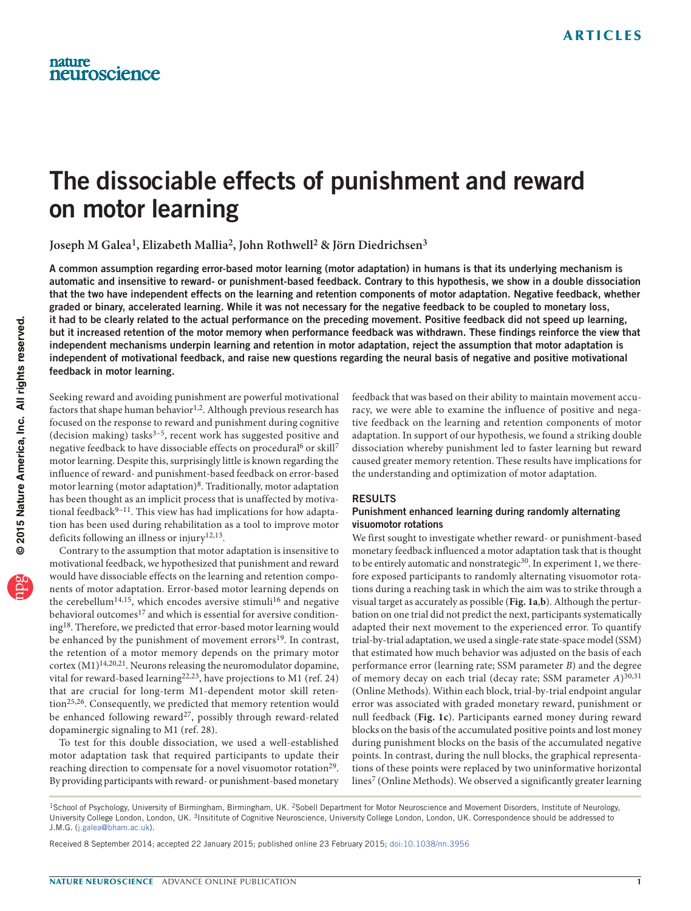# The dissociable effects of punishment and reward on motor learning

**Joseph M Galea1, Elizabeth Mallia2, John Rothwell2 & Jörn Diedrichsen3**

A common assumption regarding error-based motor learning (motor adaptation) in humans is that its underlying mechanism is automatic and insensitive to reward- or punishment-based feedback. Contrary to this hypothesis, we show in a double dissociation that the two have independent effects on the learning and retention components of motor adaptation. Negative feedback, whether graded or binary, accelerated learning. While it was not necessary for the negative feedback to be coupled to monetary loss, it had to be clearly related to the actual performance on the preceding movement. Positive feedback did not speed up learning, but it increased retention of the motor memory when performance feedback was withdrawn. These findings reinforce the view that independent mechanisms underpin learning and retention in motor adaptation, reject the assumption that motor adaptation is independent of motivational feedback, and raise new questions regarding the neural basis of negative and positive motivational feedback in motor learning.

Seeking reward and avoiding punishment are powerful motivational factors that shape human behavior<sup>[1,](#page-5-0)[2](#page-5-1)</sup>. Although previous research has focused on the response to reward and punishment during cognitive (decision making) tasks $3-5$ , recent work has suggested positive and negative feedback to have dissociable effects on procedural<sup>6</sup> or skill<sup>[7](#page-5-5)</sup> motor learning. Despite this, surprisingly little is known regarding the influence of reward- and punishment-based feedback on error-based motor learning (motor adaptation)[8.](#page-5-6) Traditionally, motor adaptation has been thought as an implicit process that is unaffected by motivational feedback $9-11$  $9-11$ . This view has had implications for how adaptation has been used during rehabilitation as a tool to improve motor deficits following an illness or injury[12,](#page-5-9)[13](#page-5-10).

Contrary to the assumption that motor adaptation is insensitive to motivational feedback, we hypothesized that punishment and reward would have dissociable effects on the learning and retention components of motor adaptation. Error-based motor learning depends on the cerebellum<sup>[14,](#page-5-11)[15](#page-5-12)</sup>, which encodes aversive stimuli<sup>[16](#page-5-13)</sup> and negative behavioral outcomes<sup>[17](#page-5-14)</sup> and which is essential for aversive conditioning[18.](#page-5-15) Therefore, we predicted that error-based motor learning would be enhanced by the punishment of movement errors<sup>[19](#page-5-16)</sup>. In contrast, the retention of a motor memory depends on the primary motor cortex  $(M1)^{14,20,21}$  $(M1)^{14,20,21}$  $(M1)^{14,20,21}$  $(M1)^{14,20,21}$  $(M1)^{14,20,21}$ . Neurons releasing the neuromodulator dopamine, vital for reward-based learning<sup>[22,](#page-5-19)[23](#page-5-20)</sup>, have projections to M1 (ref. [24](#page-5-21)) that are crucial for long-term M1-dependent motor skill retention[25,](#page-5-22)[26.](#page-5-23) Consequently, we predicted that memory retention would be enhanced following reward<sup>27</sup>, possibly through reward-related dopaminergic signaling to M1 (ref. [28\)](#page-5-25).

To test for this double dissociation, we used a well-established motor adaptation task that required participants to update their reaching direction to compensate for a novel visuomotor rotation<sup>[29](#page-5-26)</sup>. By providing participants with reward- or punishment-based monetary feedback that was based on their ability to maintain movement accuracy, we were able to examine the influence of positive and negative feedback on the learning and retention components of motor adaptation. In support of our hypothesis, we found a striking double dissociation whereby punishment led to faster learning but reward caused greater memory retention. These results have implications for the understanding and optimization of motor adaptation.

### RESULTS

## Punishment enhanced learning during randomly alternating visuomotor rotations

We first sought to investigate whether reward- or punishment-based monetary feedback influenced a motor adaptation task that is thought to be entirely automatic and nonstrategic<sup>[30](#page-5-27)</sup>. In experiment 1, we therefore exposed participants to randomly alternating visuomotor rotations during a reaching task in which the aim was to strike through a visual target as accurately as possible (**[Fig. 1a](#page-1-0)**,**b**). Although the perturbation on one trial did not predict the next, participants systematically adapted their next movement to the experienced error. To quantify trial-by-trial adaptation, we used a single-rate state-space model (SSM) that estimated how much behavior was adjusted on the basis of each performance error (learning rate; SSM parameter *B*) and the degree of memory decay on each trial (decay rate; SSM parameter *A*)[30,](#page-5-27)[31](#page-5-28) (Online Methods). Within each block, trial-by-trial endpoint angular error was associated with graded monetary reward, punishment or null feedback (**[Fig. 1c](#page-1-0)**). Participants earned money during reward blocks on the basis of the accumulated positive points and lost money during punishment blocks on the basis of the accumulated negative points. In contrast, during the null blocks, the graphical representations of these points were replaced by two uninformative horizontal lines<sup>7</sup> (Online Methods). We observed a significantly greater learning

Received 8 September 2014; accepted 22 January 2015; published online 23 February 2015; [doi:10.1038/nn.3956](http://www.nature.com/doifinder/10.1038/nn.3956)

<sup>&</sup>lt;sup>1</sup>School of Psychology, University of Birmingham, Birmingham, UK. <sup>2</sup>Sobell Department for Motor Neuroscience and Movement Disorders, Institute of Neurology, University College London, London, UK. 3Insititute of Cognitive Neuroscience, University College London, London, UK. Correspondence should be addressed to J.M.G. (j.galea@bham.ac.uk).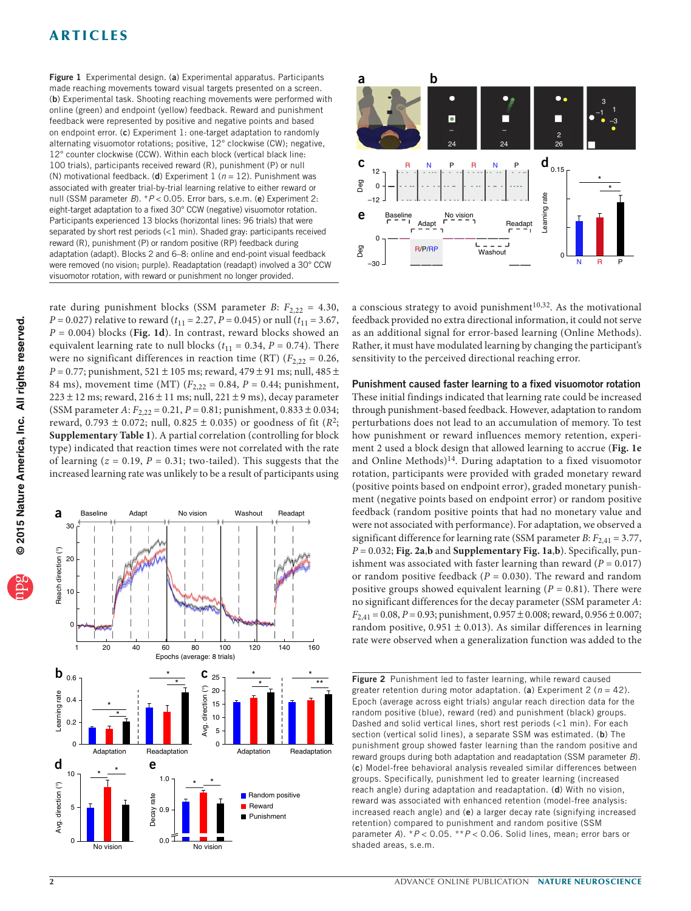## **ARTICLES**

<span id="page-1-0"></span>Figure 1 Experimental design. (a) Experimental apparatus. Participants **a b** made reaching movements toward visual targets presented on a screen. (b) Experimental task. Shooting reaching movements were performed with online (green) and endpoint (yellow) feedback. Reward and punishment feedback were represented by positive and negative points and based on endpoint error. (c) Experiment 1: one-target adaptation to randomly alternating visuomotor rotations; positive, 12° clockwise (CW); negative, 12° counter clockwise (CCW). Within each block (vertical black line: 100 trials), participants received reward (R), punishment (P) or null (N) motivational feedback. (d) Experiment 1 (*n* = 12). Punishment was associated with greater trial-by-trial learning relative to either reward or null (SSM parameter *B*). \* *P* < 0.05. Error bars, s.e.m. (e) Experiment 2: eight-target adaptation to a fixed 30° CCW (negative) visuomotor rotation. Participants experienced 13 blocks (horizontal lines: 96 trials) that were separated by short rest periods (<1 min). Shaded gray: participants received reward (R), punishment (P) or random positive (RP) feedback during adaptation (adapt). Blocks 2 and 6–8: online and end-point visual feedback were removed (no vision; purple). Readaptation (readapt) involved a 30° CCW visuomotor rotation, with reward or punishment no longer provided.

rate during punishment blocks (SSM parameter *B*:  $F_{2,22} = 4.30$ , *P* = 0.027) relative to reward ( $t_{11}$  = 2.27, *P* = 0.045) or null ( $t_{11}$  = 3.67, *P* = 0.004) blocks (**[Fig. 1d](#page-1-0)**). In contrast, reward blocks showed an equivalent learning rate to null blocks  $(t_{11} = 0.34, P = 0.74)$ . There were no significant differences in reaction time (RT)  $(F_{2,22} = 0.26,$ *P* = 0.77; punishment, 521 ± 105 ms; reward, 479 ± 91 ms; null, 485 ± 84 ms), movement time (MT)  $(F_{2,22} = 0.84, P = 0.44;$  punishment,  $223 \pm 12$  ms; reward,  $216 \pm 11$  ms; null,  $221 \pm 9$  ms), decay parameter (SSM parameter *A*:  $F_{2,22} = 0.21$ ,  $P = 0.81$ ; punishment,  $0.833 \pm 0.034$ ; reward, 0.793  $\pm$  0.072; null, 0.825  $\pm$  0.035) or goodness of fit ( $R^2$ ; **Supplementary Table 1**). A partial correlation (controlling for block type) indicated that reaction times were not correlated with the rate of learning  $(z = 0.19, P = 0.31$ ; two-tailed). This suggests that the increased learning rate was unlikely to be a result of participants using

Adapt No vision Washout Readapt



a Baseline 30

20 Reach direction (°)<br>20<br>10<br>10





a conscious strategy to avoid punishment $10,32$  $10,32$ . As the motivational feedback provided no extra directional information, it could not serve as an additional signal for error-based learning (Online Methods). Rather, it must have modulated learning by changing the participant's sensitivity to the perceived directional reaching error.

## Punishment caused faster learning to a fixed visuomotor rotation

These initial findings indicated that learning rate could be increased through punishment-based feedback. However, adaptation to random perturbations does not lead to an accumulation of memory. To test how punishment or reward influences memory retention, experiment 2 used a block design that allowed learning to accrue (**[Fig. 1e](#page-1-0)** and Online Methods)<sup>[14](#page-5-11)</sup>. During adaptation to a fixed visuomotor rotation, participants were provided with graded monetary reward (positive points based on endpoint error), graded monetary punishment (negative points based on endpoint error) or random positive feedback (random positive points that had no monetary value and were not associated with performance). For adaptation, we observed a significant difference for learning rate (SSM parameter  $B$ :  $F_{2,41} = 3.77$ , *P =* 0.032; **[Fig. 2a](#page-1-1)**,**b** and **Supplementary Fig. 1a**,**b**). Specifically, punishment was associated with faster learning than reward  $(P = 0.017)$ or random positive feedback (*P* = 0.030). The reward and random positive groups showed equivalent learning  $(P = 0.81)$ . There were no significant differences for the decay parameter (SSM parameter *A*: *F*2,41 = 0.08, *P* = 0.93; punishment, 0.957 ± 0.008; reward, 0.956 ± 0.007; random positive,  $0.951 \pm 0.013$ ). As similar differences in learning rate were observed when a generalization function was added to the

<span id="page-1-1"></span>Figure 2 Punishment led to faster learning, while reward caused greater retention during motor adaptation. (a) Experiment  $2 (n = 42)$ . Epoch (average across eight trials) angular reach direction data for the random positive (blue), reward (red) and punishment (black) groups. Dashed and solid vertical lines, short rest periods (<1 min). For each section (vertical solid lines), a separate SSM was estimated. (b) The punishment group showed faster learning than the random positive and reward groups during both adaptation and readaptation (SSM parameter *B*). (c) Model-free behavioral analysis revealed similar differences between groups. Specifically, punishment led to greater learning (increased reach angle) during adaptation and readaptation. (d) With no vision, reward was associated with enhanced retention (model-free analysis: increased reach angle) and (e) a larger decay rate (signifying increased retention) compared to punishment and random positive (SSM parameter *A*). \**P* < 0.05. \*\**P* < 0.06. Solid lines, mean; error bars or shaded areas, s.e.m.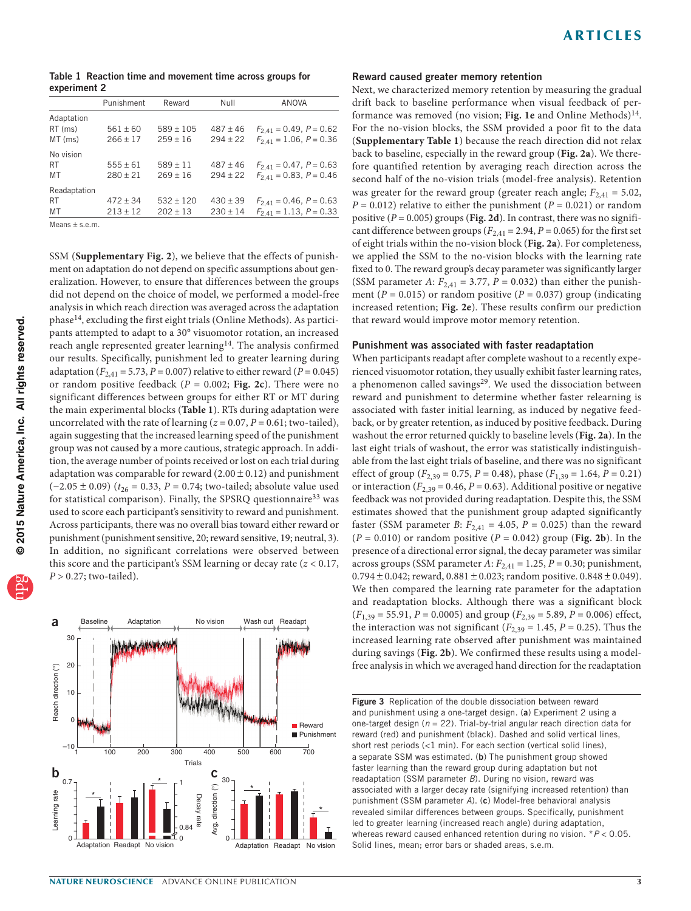<span id="page-2-0"></span>Table 1 Reaction time and movement time across groups for experiment 2

|                  | Punishment   | Reward       | Null         | ANOVA                          |  |  |
|------------------|--------------|--------------|--------------|--------------------------------|--|--|
| Adaptation       |              |              |              |                                |  |  |
| RT (ms)          | $561 + 60$   | $589 + 105$  | $487 \pm 46$ | $F_{2,41} = 0.49, P = 0.62$    |  |  |
| MT (ms)          | $266 \pm 17$ | $259 + 16$   | $294 + 22$   | $F_{2,41} = 1.06, P = 0.36$    |  |  |
| No vision        |              |              |              |                                |  |  |
| <b>RT</b>        | $555 + 61$   | $589 + 11$   | $487 + 46$   | $F_{2,41} = 0.47$ , $P = 0.63$ |  |  |
| MT               | $280 + 21$   | $269 + 16$   | $294 + 22$   | $F_{2,41} = 0.83, P = 0.46$    |  |  |
| Readaptation     |              |              |              |                                |  |  |
| <b>RT</b>        | $472 + 34$   | $532 + 120$  | $430 + 39$   | $F_{2,41} = 0.46, P = 0.63$    |  |  |
| MT               | $213 \pm 12$ | $202 \pm 13$ | $230 \pm 14$ | $F_{2,41} = 1.13, P = 0.33$    |  |  |
| Means $+$ s.e.m. |              |              |              |                                |  |  |

SSM (**Supplementary Fig. 2**), we believe that the effects of punishment on adaptation do not depend on specific assumptions about generalization. However, to ensure that differences between the groups did not depend on the choice of model, we performed a model-free analysis in which reach direction was averaged across the adaptation phase[14](#page-5-11), excluding the first eight trials (Online Methods). As participants attempted to adapt to a 30° visuomotor rotation, an increased reach angle represented greater learning<sup>[14](#page-5-11)</sup>. The analysis confirmed our results. Specifically, punishment led to greater learning during adaptation ( $F_{2,41} = 5.73$ ,  $P = 0.007$ ) relative to either reward ( $P = 0.045$ ) or random positive feedback (*P* = 0.002; **[Fig. 2c](#page-1-1)**). There were no significant differences between groups for either RT or MT during the main experimental blocks (**[Table 1](#page-2-0)**). RTs during adaptation were uncorrelated with the rate of learning  $(z = 0.07, P = 0.61$ ; two-tailed), again suggesting that the increased learning speed of the punishment group was not caused by a more cautious, strategic approach. In addition, the average number of points received or lost on each trial during adaptation was comparable for reward  $(2.00 \pm 0.12)$  and punishment (−2.05 ± 0.09) (*t*26 = 0.33, *P* = 0.74; two-tailed; absolute value used for statistical comparison). Finally, the SPSRQ questionnaire<sup>[33](#page-5-31)</sup> was used to score each participant's sensitivity to reward and punishment. Across participants, there was no overall bias toward either reward or punishment (punishment sensitive, 20; reward sensitive, 19; neutral, 3). In addition, no significant correlations were observed between this score and the participant's SSM learning or decay rate (*z* < 0.17,  $P > 0.27$ ; two-tailed).



#### Reward caused greater memory retention

Next, we characterized memory retention by measuring the gradual drift back to baseline performance when visual feedback of performance was removed (no vision; **[Fig. 1e](#page-1-0)** and Online Methods)[14](#page-5-11). For the no-vision blocks, the SSM provided a poor fit to the data (**Supplementary Table 1**) because the reach direction did not relax back to baseline, especially in the reward group (**[Fig. 2a](#page-1-1)**). We therefore quantified retention by averaging reach direction across the second half of the no-vision trials (model-free analysis). Retention was greater for the reward group (greater reach angle;  $F_{2,41} = 5.02$ ,  $P = 0.012$ ) relative to either the punishment ( $P = 0.021$ ) or random positive  $(P = 0.005)$  groups (**[Fig. 2d](#page-1-1)**). In contrast, there was no significant difference between groups ( $F_{2,41}$  = 2.94,  $P$  = 0.065) for the first set of eight trials within the no-vision block (**[Fig. 2a](#page-1-1)**). For completeness, we applied the SSM to the no-vision blocks with the learning rate fixed to 0. The reward group's decay parameter was significantly larger (SSM parameter *A*:  $F_{2,41} = 3.77$ ,  $P = 0.032$ ) than either the punishment ( $P = 0.015$ ) or random positive ( $P = 0.037$ ) group (indicating increased retention; **[Fig. 2e](#page-1-1)**). These results confirm our prediction that reward would improve motor memory retention.

#### Punishment was associated with faster readaptation

When participants readapt after complete washout to a recently experienced visuomotor rotation, they usually exhibit faster learning rates, a phenomenon called savings<sup>29</sup>. We used the dissociation between reward and punishment to determine whether faster relearning is associated with faster initial learning, as induced by negative feedback, or by greater retention, as induced by positive feedback. During washout the error returned quickly to baseline levels (**[Fig. 2a](#page-1-1)**). In the last eight trials of washout, the error was statistically indistinguishable from the last eight trials of baseline, and there was no significant effect of group ( $F_{2,39} = 0.75$ ,  $P = 0.48$ ), phase ( $F_{1,39} = 1.64$ ,  $P = 0.21$ ) or interaction ( $F_{2,39}$  = 0.46,  $P$  = 0.63). Additional positive or negative feedback was not provided during readaptation. Despite this, the SSM estimates showed that the punishment group adapted significantly faster (SSM parameter *B*:  $F_{2,41} = 4.05$ ,  $P = 0.025$ ) than the reward  $(P = 0.010)$  or random positive  $(P = 0.042)$  group (**[Fig. 2b](#page-1-1)**). In the presence of a directional error signal, the decay parameter was similar across groups (SSM parameter  $A$ :  $F_{2,41} = 1.25$ ,  $P = 0.30$ ; punishment,  $0.794 \pm 0.042$ ; reward,  $0.881 \pm 0.023$ ; random positive.  $0.848 \pm 0.049$ ). We then compared the learning rate parameter for the adaptation and readaptation blocks. Although there was a significant block  $(F<sub>1,39</sub> = 55.91, P = 0.0005)$  and group  $(F<sub>2,39</sub> = 5.89, P = 0.006)$  effect, the interaction was not significant  $(F_{2,39} = 1.45, P = 0.25)$ . Thus the increased learning rate observed after punishment was maintained during savings (**[Fig. 2b](#page-1-1)**). We confirmed these results using a modelfree analysis in which we averaged hand direction for the readaptation

<span id="page-2-1"></span>Figure 3 Replication of the double dissociation between reward and punishment using a one-target design. (a) Experiment 2 using a one-target design (*n* = 22). Trial-by-trial angular reach direction data for reward (red) and punishment (black). Dashed and solid vertical lines, short rest periods (<1 min). For each section (vertical solid lines), a separate SSM was estimated. (b) The punishment group showed faster learning than the reward group during adaptation but not readaptation (SSM parameter *B*). During no vision, reward was associated with a larger decay rate (signifying increased retention) than punishment (SSM parameter *A*). (c) Model-free behavioral analysis revealed similar differences between groups. Specifically, punishment led to greater learning (increased reach angle) during adaptation, whereas reward caused enhanced retention during no vision. \**P* < 0.05. Solid lines, mean; error bars or shaded areas, s.e.m.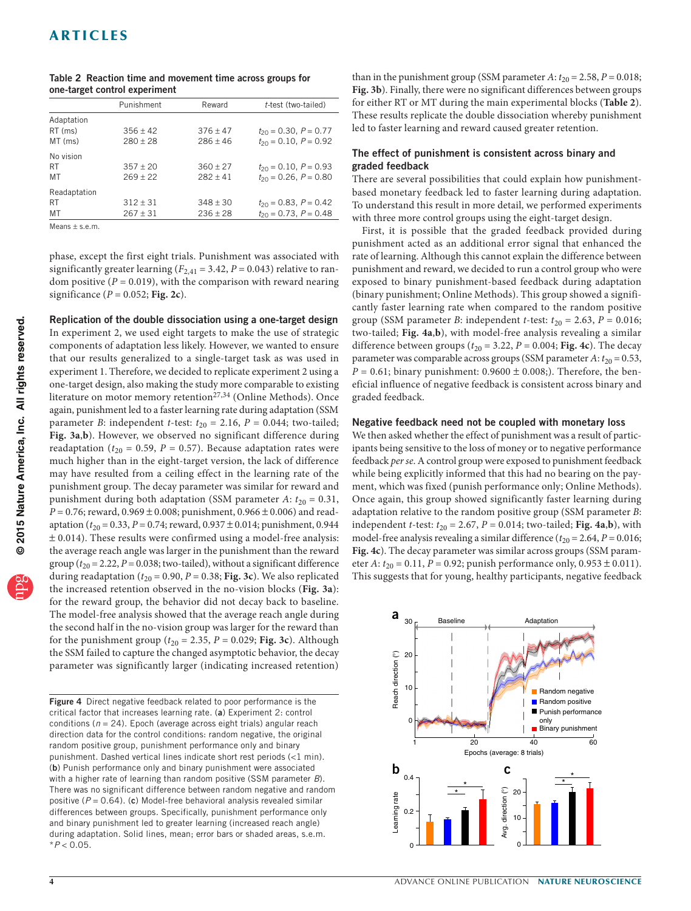|                    | Punishment | Reward     | t-test (two-tailed)          |  |  |
|--------------------|------------|------------|------------------------------|--|--|
| Adaptation         |            |            |                              |  |  |
| RT (ms)            | $356 + 42$ | $376 + 47$ | $t_{20} = 0.30, P = 0.77$    |  |  |
| $MT$ (ms)          | $280 + 28$ | $286 + 46$ | $t_{20} = 0.10$ , $P = 0.92$ |  |  |
| No vision          |            |            |                              |  |  |
| <b>RT</b>          | $357 + 20$ | $360 + 27$ | $t_{20} = 0.10$ , $P = 0.93$ |  |  |
| MT                 | $269 + 22$ | $282 + 41$ | $t_{20} = 0.26$ , $P = 0.80$ |  |  |
| Readaptation       |            |            |                              |  |  |
| <b>RT</b>          | $312 + 31$ | $348 + 30$ | $t_{20} = 0.83$ , $P = 0.42$ |  |  |
| MT                 | $267 + 31$ | $236 + 28$ | $t_{20} = 0.73$ , $P = 0.48$ |  |  |
| $M$ eans $+$ s e m |            |            |                              |  |  |

<span id="page-3-0"></span>

| Table 2 Reaction time and movement time across groups for |  |  |  |  |
|-----------------------------------------------------------|--|--|--|--|
| one-target control experiment                             |  |  |  |  |

Means  $\pm$  s.e.m.

phase, except the first eight trials. Punishment was associated with significantly greater learning  $(F_{2,41} = 3.42, P = 0.043)$  relative to random positive  $(P = 0.019)$ , with the comparison with reward nearing significance (*P* = 0.052; **[Fig. 2c](#page-1-1)**).

Replication of the double dissociation using a one-target design In experiment 2, we used eight targets to make the use of strategic components of adaptation less likely. However, we wanted to ensure that our results generalized to a single-target task as was used in experiment 1. Therefore, we decided to replicate experiment 2 using a one-target design, also making the study more comparable to existing literature on motor memory retention<sup>[27,](#page-5-24)[34](#page-5-32)</sup> (Online Methods). Once again, punishment led to a faster learning rate during adaptation (SSM parameter *B*: independent *t*-test:  $t_{20} = 2.16$ ,  $P = 0.044$ ; two-tailed; **[Fig. 3a](#page-2-1)**,**b**). However, we observed no significant difference during readaptation ( $t_{20}$  = 0.59, *P* = 0.57). Because adaptation rates were much higher than in the eight-target version, the lack of difference may have resulted from a ceiling effect in the learning rate of the punishment group. The decay parameter was similar for reward and punishment during both adaptation (SSM parameter  $A$ :  $t_{20} = 0.31$ ,  $P = 0.76$ ; reward,  $0.969 \pm 0.008$ ; punishment,  $0.966 \pm 0.006$ ) and readaptation ( $t_{20}$  = 0.33, *P* = 0.74; reward, 0.937  $\pm$  0.014; punishment, 0.944  $±$  0.014). These results were confirmed using a model-free analysis: the average reach angle was larger in the punishment than the reward group ( $t_{20}$  = 2.22,  $P$  = 0.038; two-tailed), without a significant difference during readaptation ( $t_{20}$  = 0.90,  $P$  = 0.38; [Fig. 3c](#page-2-1)). We also replicated the increased retention observed in the no-vision blocks (**[Fig. 3a](#page-2-1)**): for the reward group, the behavior did not decay back to baseline. The model-free analysis showed that the average reach angle during the second half in the no-vision group was larger for the reward than for the punishment group ( $t_{20} = 2.35$ ,  $P = 0.029$ ; **[Fig. 3c](#page-2-1)**). Although the SSM failed to capture the changed asymptotic behavior, the decay parameter was significantly larger (indicating increased retention)

<span id="page-3-1"></span>Figure 4 Direct negative feedback related to poor performance is the critical factor that increases learning rate. (a) Experiment 2: control conditions (*n* = 24). Epoch (average across eight trials) angular reach direction data for the control conditions: random negative, the original random positive group, punishment performance only and binary punishment. Dashed vertical lines indicate short rest periods (<1 min). (b) Punish performance only and binary punishment were associated with a higher rate of learning than random positive (SSM parameter *B*). There was no significant difference between random negative and random positive (*P* = 0.64). (c) Model-free behavioral analysis revealed similar differences between groups. Specifically, punishment performance only and binary punishment led to greater learning (increased reach angle) during adaptation. Solid lines, mean; error bars or shaded areas, s.e.m. \**P* < 0.05.

than in the punishment group (SSM parameter  $A$ :  $t_{20} = 2.58$ ,  $P = 0.018$ ; **[Fig. 3b](#page-2-1)**). Finally, there were no significant differences between groups for either RT or MT during the main experimental blocks (**[Table 2](#page-3-0)**). These results replicate the double dissociation whereby punishment led to faster learning and reward caused greater retention.

## The effect of punishment is consistent across binary and graded feedback

There are several possibilities that could explain how punishmentbased monetary feedback led to faster learning during adaptation. To understand this result in more detail, we performed experiments with three more control groups using the eight-target design.

First, it is possible that the graded feedback provided during punishment acted as an additional error signal that enhanced the rate of learning. Although this cannot explain the difference between punishment and reward, we decided to run a control group who were exposed to binary punishment-based feedback during adaptation (binary punishment; Online Methods). This group showed a significantly faster learning rate when compared to the random positive group (SSM parameter *B*: independent *t*-test:  $t_{20} = 2.63$ ,  $P = 0.016$ ; two-tailed; **[Fig. 4a](#page-3-1)**,**b**), with model-free analysis revealing a similar difference between groups ( $t_{20}$  = 3.22, *P* = 0.004; **[Fig. 4c](#page-3-1)**). The decay parameter was comparable across groups (SSM parameter A:  $t_{20} = 0.53$ ,  $P = 0.61$ ; binary punishment:  $0.9600 \pm 0.008$ ;). Therefore, the beneficial influence of negative feedback is consistent across binary and graded feedback.

#### Negative feedback need not be coupled with monetary loss

We then asked whether the effect of punishment was a result of participants being sensitive to the loss of money or to negative performance feedback *per se*. A control group were exposed to punishment feedback while being explicitly informed that this had no bearing on the payment, which was fixed (punish performance only; Online Methods). Once again, this group showed significantly faster learning during adaptation relative to the random positive group (SSM parameter *B*: independent *t*-test:  $t_{20} = 2.67$ ,  $P = 0.014$ ; two-tailed; **[Fig. 4a](#page-3-1),b**), with model-free analysis revealing a similar difference  $(t_{20} = 2.64, P = 0.016;$ **[Fig. 4c](#page-3-1)**). The decay parameter was similar across groups (SSM parameter *A*:  $t_{20} = 0.11$ , *P* = 0.92; punish performance only, 0.953 ± 0.011). This suggests that for young, healthy participants, negative feedback

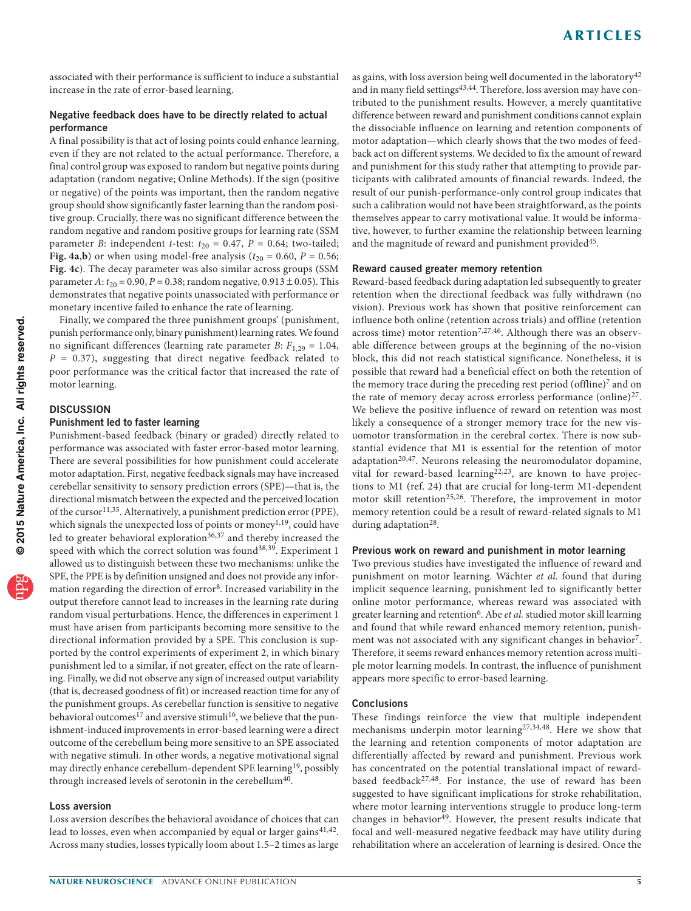associated with their performance is sufficient to induce a substantial increase in the rate of error-based learning.

## Negative feedback does have to be directly related to actual performance

A final possibility is that act of losing points could enhance learning, even if they are not related to the actual performance. Therefore, a final control group was exposed to random but negative points during adaptation (random negative; Online Methods). If the sign (positive or negative) of the points was important, then the random negative group should show significantly faster learning than the random positive group. Crucially, there was no significant difference between the random negative and random positive groups for learning rate (SSM parameter *B*: independent *t*-test:  $t_{20} = 0.47$ ,  $P = 0.64$ ; two-tailed; **[Fig.](#page-3-1) 4a,b**) or when using model-free analysis ( $t_{20} = 0.60$ ,  $P = 0.56$ ; **[Fig. 4c](#page-3-1)**). The decay parameter was also similar across groups (SSM parameter *A*:  $t_{20}$  = 0.90, *P* = 0.38; random negative, 0.913 ± 0.05). This demonstrates that negative points unassociated with performance or monetary incentive failed to enhance the rate of learning.

Finally, we compared the three punishment groups' (punishment, punish performance only, binary punishment) learning rates. We found no significant differences (learning rate parameter *B*:  $F_{1,29} = 1.04$ ,  $P = 0.37$ , suggesting that direct negative feedback related to poor performance was the critical factor that increased the rate of motor learning.

## **DISCUSSION**

## Punishment led to faster learning

Punishment-based feedback (binary or graded) directly related to performance was associated with faster error-based motor learning. There are several possibilities for how punishment could accelerate motor adaptation. First, negative feedback signals may have increased cerebellar sensitivity to sensory prediction errors (SPE)—that is, the directional mismatch between the expected and the perceived location of the cursor<sup>[11,](#page-5-8)35</sup>. Alternatively, a punishment prediction error (PPE), which signals the unexpected loss of points or money<sup>[1,](#page-5-0)[19](#page-5-16)</sup>, could have led to greater behavioral exploration<sup>[36,](#page-5-34)[37](#page-5-35)</sup> and thereby increased the speed with which the correct solution was found<sup>[38,](#page-5-36)39</sup>. Experiment 1 allowed us to distinguish between these two mechanisms: unlike the SPE, the PPE is by definition unsigned and does not provide any infor-mation regarding the direction of error<sup>[8](#page-5-6)</sup>. Increased variability in the output therefore cannot lead to increases in the learning rate during random visual perturbations. Hence, the differences in experiment 1 must have arisen from participants becoming more sensitive to the directional information provided by a SPE. This conclusion is supported by the control experiments of experiment 2, in which binary punishment led to a similar, if not greater, effect on the rate of learning. Finally, we did not observe any sign of increased output variability (that is, decreased goodness of fit) or increased reaction time for any of the punishment groups. As cerebellar function is sensitive to negative behavioral outcomes<sup>[17](#page-5-14)</sup> and aversive stimuli<sup>16</sup>, we believe that the punishment-induced improvements in error-based learning were a direct outcome of the cerebellum being more sensitive to an SPE associated with negative stimuli. In other words, a negative motivational signal may directly enhance cerebellum-dependent SPE learning<sup>19</sup>, possibly through increased levels of serotonin in the cerebellum<sup>40</sup>.

## Loss aversion

Loss aversion describes the behavioral avoidance of choices that can lead to losses, even when accompanied by equal or larger gains $41,42$  $41,42$ . Across many studies, losses typically loom about 1.5–2 times as large

as gains, with loss aversion being well documented in the laboratory<sup>[42](#page-5-40)</sup> and in many field settings<sup>[43,](#page-5-41)[44](#page-5-42)</sup>. Therefore, loss aversion may have contributed to the punishment results. However, a merely quantitative difference between reward and punishment conditions cannot explain the dissociable influence on learning and retention components of motor adaptation—which clearly shows that the two modes of feedback act on different systems. We decided to fix the amount of reward and punishment for this study rather that attempting to provide participants with calibrated amounts of financial rewards. Indeed, the result of our punish-performance-only control group indicates that such a calibration would not have been straightforward, as the points themselves appear to carry motivational value. It would be informative, however, to further examine the relationship between learning and the magnitude of reward and punishment provided<sup>45</sup>.

#### Reward caused greater memory retention

Reward-based feedback during adaptation led subsequently to greater retention when the directional feedback was fully withdrawn (no vision). Previous work has shown that positive reinforcement can influence both online (retention across trials) and offline (retention across time) motor retention<sup>[7,](#page-5-5)[27,](#page-5-24)46</sup>. Although there was an observable difference between groups at the beginning of the no-vision block, this did not reach statistical significance. Nonetheless, it is possible that reward had a beneficial effect on both the retention of the memory trace during the preceding rest period (offline)<sup>[7](#page-5-5)</sup> and on the rate of memory decay across errorless performance (online) $27$ . We believe the positive influence of reward on retention was most likely a consequence of a stronger memory trace for the new visuomotor transformation in the cerebral cortex. There is now substantial evidence that M1 is essential for the retention of motor adaptation<sup>[20,](#page-5-17)[47](#page-5-45)</sup>. Neurons releasing the neuromodulator dopamine, vital for reward-based learning<sup>[22,](#page-5-19)23</sup>, are known to have projections to M1 (ref. [24\)](#page-5-21) that are crucial for long-term M1-dependent motor skill retention<sup>[25,](#page-5-22)26</sup>. Therefore, the improvement in motor memory retention could be a result of reward-related signals to M1 during adaptation<sup>28</sup>.

#### Previous work on reward and punishment in motor learning

Two previous studies have investigated the influence of reward and punishment on motor learning. Wächter *et al.* found that during implicit sequence learning, punishment led to significantly better online motor performance, whereas reward was associated with greater learning and retention<sup>[6](#page-5-4)</sup>. Abe *et al.* studied motor skill learning and found that while reward enhanced memory retention, punishment was not associated with any significant changes in behavior<sup>7</sup>. Therefore, it seems reward enhances memory retention across multiple motor learning models. In contrast, the influence of punishment appears more specific to error-based learning.

#### **Conclusions**

These findings reinforce the view that multiple independent mechanisms underpin motor learning[27,](#page-5-24)[34,](#page-5-32)[48.](#page-5-46) Here we show that the learning and retention components of motor adaptation are differentially affected by reward and punishment. Previous work has concentrated on the potential translational impact of reward-based feedback<sup>[27,](#page-5-24)[48](#page-5-46)</sup>. For instance, the use of reward has been suggested to have significant implications for stroke rehabilitation, where motor learning interventions struggle to produce long-term changes in behavior<sup>49</sup>. However, the present results indicate that focal and well-measured negative feedback may have utility during rehabilitation where an acceleration of learning is desired. Once the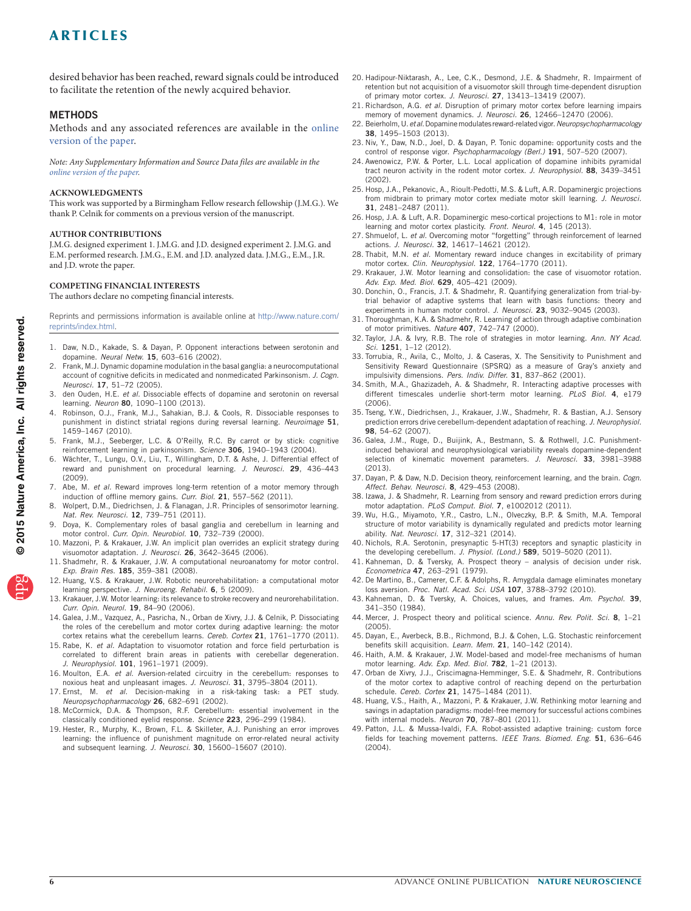desired behavior has been reached, reward signals could be introduced to facilitate the retention of the newly acquired behavior.

## **METHODS**

Methods and any associated references are available in the [online](http://www.nature.com/doifinder/10.1038/nn.3956) [version of the paper](http://www.nature.com/doifinder/10.1038/nn.3956).

*Note: Any Supplementary Information and Source Data files are available in the [online version of the paper.](http://www.nature.com/doifinder/10.1038/nn.3956)*

#### **Acknowledgments**

This work was supported by a Birmingham Fellow research fellowship (J.M.G.). We thank P. Celnik for comments on a previous version of the manuscript.

#### **AUTHOR CONTRIBUTIONS**

J.M.G. designed experiment 1. J.M.G. and J.D. designed experiment 2. J.M.G. and E.M. performed research. J.M.G., E.M. and J.D. analyzed data. J.M.G., E.M., J.R. and J.D. wrote the paper.

#### **COMPETING FINANCIAL INTERESTS**

The authors declare no competing financial interests.

Reprints and permissions information is available online at [http://www.nature.com/](http://www.nature.com/reprints/index.html) [reprints/index.html](http://www.nature.com/reprints/index.html).

- <span id="page-5-0"></span>1. Daw, N.D., Kakade, S. & Dayan, P. Opponent interactions between serotonin and dopamine. *Neural Netw.* 15, 603–616 (2002).
- <span id="page-5-1"></span>2. Frank, M.J. Dynamic dopamine modulation in the basal ganglia: a neurocomputational account of cognitive deficits in medicated and nonmedicated Parkinsonism. *J. Cogn. Neurosci.* 17, 51–72 (2005).
- <span id="page-5-2"></span>3. den Ouden, H.E. *et al.* Dissociable effects of dopamine and serotonin on reversal learning. *Neuron* 80, 1090–1100 (2013).
- 4. Robinson, O.J., Frank, M.J., Sahakian, B.J. & Cools, R. Dissociable responses to punishment in distinct striatal regions during reversal learning. *Neuroimage* 51, 1459–1467 (2010).
- <span id="page-5-3"></span>5. Frank, M.J., Seeberger, L.C. & O'Reilly, R.C. By carrot or by stick: cognitive reinforcement learning in parkinsonism. *Science* 306, 1940–1943 (2004).
- <span id="page-5-4"></span>Wächter, T., Lungu, O.V., Liu, T., Willingham, D.T. & Ashe, J. Differential effect of reward and punishment on procedural learning. *J. Neurosci.* 29, 436–443 (2009).
- <span id="page-5-5"></span>7. Abe, M. *et al.* Reward improves long-term retention of a motor memory through induction of offline memory gains. *Curr. Biol.* 21, 557–562 (2011).
- <span id="page-5-6"></span>Wolpert, D.M., Diedrichsen, J. & Flanagan, J.R. Principles of sensorimotor learning. *Nat. Rev. Neurosci.* 12, 739–751 (2011).
- <span id="page-5-7"></span>Doya, K. Complementary roles of basal ganglia and cerebellum in learning and motor control. *Curr. Opin. Neurobiol.* 10, 732–739 (2000).
- <span id="page-5-29"></span>10. Mazzoni, P. & Krakauer, J.W. An implicit plan overrides an explicit strategy during visuomotor adaptation. *J. Neurosci.* 26, 3642–3645 (2006).
- <span id="page-5-8"></span>11. Shadmehr, R. & Krakauer, J.W. A computational neuroanatomy for motor control. *Exp. Brain Res.* 185, 359–381 (2008).
- <span id="page-5-9"></span>12. Huang, V.S. & Krakauer, J.W. Robotic neurorehabilitation: a computational motor learning perspective. *J. Neuroeng. Rehabil.* 6, 5 (2009).
- <span id="page-5-10"></span>13. Krakauer, J.W. Motor learning: its relevance to stroke recovery and neurorehabilitation. *Curr. Opin. Neurol.* 19, 84–90 (2006).
- <span id="page-5-11"></span>14. Galea, J.M., Vazquez, A., Pasricha, N., Orban de Xivry, J.J. & Celnik, P. Dissociating the roles of the cerebellum and motor cortex during adaptive learning: the motor cortex retains what the cerebellum learns. *Cereb. Cortex* 21, 1761–1770 (2011).
- <span id="page-5-12"></span>15. Rabe, K. *et al.* Adaptation to visuomotor rotation and force field perturbation is correlated to different brain areas in patients with cerebellar degeneration. *J. Neurophysiol.* 101, 1961–1971 (2009).
- <span id="page-5-13"></span>16. Moulton, E.A. *et al.* Aversion-related circuitry in the cerebellum: responses to noxious heat and unpleasant images. *J. Neurosci.* 31, 3795–3804 (2011).
- <span id="page-5-14"></span>17. Ernst, M. *et al.* Decision-making in a risk-taking task: a PET study. *Neuropsychopharmacology* 26, 682–691 (2002).
- <span id="page-5-15"></span>18. McCormick, D.A. & Thompson, R.F. Cerebellum: essential involvement in the classically conditioned eyelid response. *Science* 223, 296–299 (1984).
- <span id="page-5-16"></span>19. Hester, R., Murphy, K., Brown, F.L. & Skilleter, A.J. Punishing an error improves learning: the influence of punishment magnitude on error-related neural activity and subsequent learning. *J. Neurosci.* 30, 15600–15607 (2010).
- <span id="page-5-17"></span>20. Hadipour-Niktarash, A., Lee, C.K., Desmond, J.E. & Shadmehr, R. Impairment of retention but not acquisition of a visuomotor skill through time-dependent disruption of primary motor cortex. *J. Neurosci.* 27, 13413–13419 (2007).
- <span id="page-5-18"></span>21. Richardson, A.G. *et al.* Disruption of primary motor cortex before learning impairs memory of movement dynamics. *J. Neurosci.* 26, 12466–12470 (2006).
- <span id="page-5-19"></span>22. Beierholm, U. *et al.* Dopamine modulates reward-related vigor. *Neuropsychopharmacology* 38, 1495–1503 (2013).
- <span id="page-5-20"></span>23. Niv, Y., Daw, N.D., Joel, D. & Dayan, P. Tonic dopamine: opportunity costs and the control of response vigor. *Psychopharmacology (Berl.)* 191, 507–520 (2007).
- <span id="page-5-21"></span>24. Awenowicz, P.W. & Porter, L.L. Local application of dopamine inhibits pyramidal tract neuron activity in the rodent motor cortex. *J. Neurophysiol.* 88, 3439–3451 (2002).
- <span id="page-5-22"></span>25. Hosp, J.A., Pekanovic, A., Rioult-Pedotti, M.S. & Luft, A.R. Dopaminergic projections from midbrain to primary motor cortex mediate motor skill learning. *J. Neurosci.* 31, 2481–2487 (2011).
- <span id="page-5-23"></span>26. Hosp, J.A. & Luft, A.R. Dopaminergic meso-cortical projections to M1: role in motor learning and motor cortex plasticity. *Front. Neurol.* 4, 145 (2013).
- <span id="page-5-24"></span>27. Shmuelof, L. *et al.* Overcoming motor "forgetting" through reinforcement of learned actions. *J. Neurosci.* 32, 14617–14621 (2012).
- <span id="page-5-25"></span>28. Thabit, M.N. *et al.* Momentary reward induce changes in excitability of primary motor cortex. *Clin. Neurophysiol.* 122, 1764–1770 (2011).
- <span id="page-5-26"></span>29. Krakauer, J.W. Motor learning and consolidation: the case of visuomotor rotation. *Adv. Exp. Med. Biol.* 629, 405–421 (2009).
- <span id="page-5-27"></span>30. Donchin, O., Francis, J.T. & Shadmehr, R. Quantifying generalization from trial-bytrial behavior of adaptive systems that learn with basis functions: theory and experiments in human motor control. *J. Neurosci.* 23, 9032–9045 (2003).
- <span id="page-5-28"></span>31. Thoroughman, K.A. & Shadmehr, R. Learning of action through adaptive combination of motor primitives. *Nature* 407, 742–747 (2000).
- <span id="page-5-30"></span>32. Taylor, J.A. & Ivry, R.B. The role of strategies in motor learning. *Ann. NY Acad. Sci.* 1251, 1–12 (2012).
- <span id="page-5-31"></span>33. Torrubia, R., Avila, C., Molto, J. & Caseras, X. The Sensitivity to Punishment and Sensitivity Reward Questionnaire (SPSRQ) as a measure of Gray's anxiety and impulsivity dimensions. *Pers. Indiv. Differ.* 31, 837–862 (2001).
- <span id="page-5-32"></span>34. Smith, M.A., Ghazizadeh, A. & Shadmehr, R. Interacting adaptive processes with different timescales underlie short-term motor learning. *PLoS Biol.* 4, e179 (2006).
- <span id="page-5-33"></span>35. Tseng, Y.W., Diedrichsen, J., Krakauer, J.W., Shadmehr, R. & Bastian, A.J. Sensory prediction errors drive cerebellum-dependent adaptation of reaching. *J. Neurophysiol.* 98, 54–62 (2007).
- <span id="page-5-34"></span>36. Galea, J.M., Ruge, D., Buijink, A., Bestmann, S. & Rothwell, J.C. Punishmentinduced behavioral and neurophysiological variability reveals dopamine-dependent selection of kinematic movement parameters. *J. Neurosci.* 33, 3981–3988 (2013).
- <span id="page-5-35"></span>37. Dayan, P. & Daw, N.D. Decision theory, reinforcement learning, and the brain. *Cogn. Affect. Behav. Neurosci.* 8, 429–453 (2008).
- <span id="page-5-36"></span>38. Izawa, J. & Shadmehr, R. Learning from sensory and reward prediction errors during motor adaptation. *PLoS Comput. Biol.* 7, e1002012 (2011).
- <span id="page-5-37"></span>39. Wu, H.G., Miyamoto, Y.R., Castro, L.N., Olveczky, B.P. & Smith, M.A. Temporal structure of motor variability is dynamically regulated and predicts motor learning ability. *Nat. Neurosci.* 17, 312–321 (2014).
- <span id="page-5-38"></span>40. Nichols, R.A. Serotonin, presynaptic 5-HT(3) receptors and synaptic plasticity in the developing cerebellum. *J. Physiol. (Lond.)* 589, 5019–5020 (2011).
- <span id="page-5-39"></span>41. Kahneman, D. & Tversky, A. Prospect theory – analysis of decision under risk. *Econometrica* 47, 263–291 (1979).
- <span id="page-5-40"></span>42. De Martino, B., Camerer, C.F. & Adolphs, R. Amygdala damage eliminates monetary loss aversion. *Proc. Natl. Acad. Sci. USA* 107, 3788–3792 (2010).
- <span id="page-5-41"></span>43. Kahneman, D. & Tversky, A. Choices, values, and frames. *Am. Psychol.* 39, 341–350 (1984).
- <span id="page-5-42"></span>44. Mercer, J. Prospect theory and political science. *Annu. Rev. Polit. Sci.* 8, 1–21 (2005).
- <span id="page-5-43"></span>45. Dayan, E., Averbeck, B.B., Richmond, B.J. & Cohen, L.G. Stochastic reinforcement benefits skill acquisition. *Learn. Mem.* 21, 140–142 (2014).
- <span id="page-5-44"></span>46. Haith, A.M. & Krakauer, J.W. Model-based and model-free mechanisms of human motor learning. *Adv. Exp. Med. Biol.* 782, 1–21 (2013).
- <span id="page-5-45"></span>47. Orban de Xivry, J.J., Criscimagna-Hemminger, S.E. & Shadmehr, R. Contributions of the motor cortex to adaptive control of reaching depend on the perturbation schedule. *Cereb. Cortex* 21, 1475–1484 (2011).
- <span id="page-5-46"></span>48. Huang, V.S., Haith, A., Mazzoni, P. & Krakauer, J.W. Rethinking motor learning and savings in adaptation paradigms: model-free memory for successful actions combines with internal models. *Neuron* 70, 787–801 (2011).
- <span id="page-5-47"></span>49. Patton, J.L. & Mussa-Ivaldi, F.A. Robot-assisted adaptive training: custom force fields for teaching movement patterns. *IEEE Trans. Biomed. Eng.* 51, 636–646 (2004).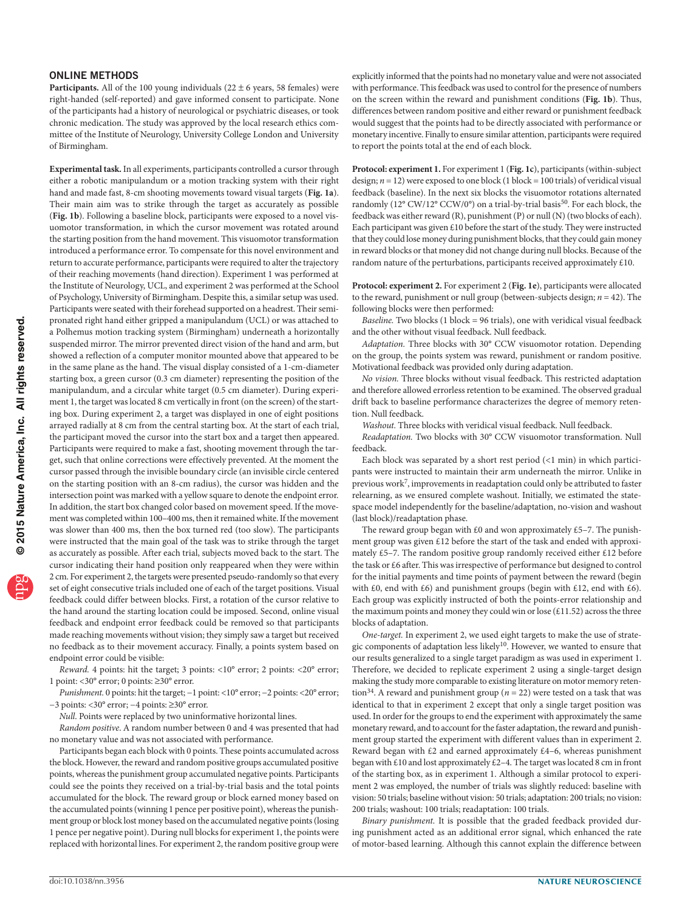#### ONLINE METHODS

**Participants.** All of the 100 young individuals  $(22 \pm 6)$  years, 58 females) were right-handed (self-reported) and gave informed consent to participate. None of the participants had a history of neurological or psychiatric diseases, or took chronic medication. The study was approved by the local research ethics committee of the Institute of Neurology, University College London and University of Birmingham.

**Experimental task.** In all experiments, participants controlled a cursor through either a robotic manipulandum or a motion tracking system with their right hand and made fast, 8-cm shooting movements toward visual targets (**[Fig. 1a](#page-1-0)**). Their main aim was to strike through the target as accurately as possible (**[Fig. 1b](#page-1-0)**). Following a baseline block, participants were exposed to a novel visuomotor transformation, in which the cursor movement was rotated around the starting position from the hand movement. This visuomotor transformation introduced a performance error. To compensate for this novel environment and return to accurate performance, participants were required to alter the trajectory of their reaching movements (hand direction). Experiment 1 was performed at the Institute of Neurology, UCL, and experiment 2 was performed at the School of Psychology, University of Birmingham. Despite this, a similar setup was used. Participants were seated with their forehead supported on a headrest. Their semipronated right hand either gripped a manipulandum (UCL) or was attached to a Polhemus motion tracking system (Birmingham) underneath a horizontally suspended mirror. The mirror prevented direct vision of the hand and arm, but showed a reflection of a computer monitor mounted above that appeared to be in the same plane as the hand. The visual display consisted of a 1-cm-diameter starting box, a green cursor (0.3 cm diameter) representing the position of the manipulandum, and a circular white target (0.5 cm diameter). During experiment 1, the target was located 8 cm vertically in front (on the screen) of the starting box. During experiment 2, a target was displayed in one of eight positions arrayed radially at 8 cm from the central starting box. At the start of each trial, the participant moved the cursor into the start box and a target then appeared. Participants were required to make a fast, shooting movement through the target, such that online corrections were effectively prevented. At the moment the cursor passed through the invisible boundary circle (an invisible circle centered on the starting position with an 8-cm radius), the cursor was hidden and the intersection point was marked with a yellow square to denote the endpoint error. In addition, the start box changed color based on movement speed. If the movement was completed within 100–400 ms, then it remained white. If the movement was slower than 400 ms, then the box turned red (too slow). The participants were instructed that the main goal of the task was to strike through the target as accurately as possible. After each trial, subjects moved back to the start. The cursor indicating their hand position only reappeared when they were within 2 cm. For experiment 2, the targets were presented pseudo-randomly so that every set of eight consecutive trials included one of each of the target positions. Visual feedback could differ between blocks. First, a rotation of the cursor relative to the hand around the starting location could be imposed. Second, online visual feedback and endpoint error feedback could be removed so that participants made reaching movements without vision; they simply saw a target but received no feedback as to their movement accuracy. Finally, a points system based on endpoint error could be visible:

*Reward.* 4 points: hit the target; 3 points: <10° error; 2 points: <20° error; 1 point: <30° error; 0 points: ≥30° error.

*Punishment.* 0 points: hit the target; -1 point: <10° error; -2 points: <20° error; −3 points: <30° error; −4 points: ≥30° error.

*Null*. Points were replaced by two uninformative horizontal lines.

*Random positive*. A random number between 0 and 4 was presented that had no monetary value and was not associated with performance.

Participants began each block with 0 points. These points accumulated across the block. However, the reward and random positive groups accumulated positive points, whereas the punishment group accumulated negative points. Participants could see the points they received on a trial-by-trial basis and the total points accumulated for the block. The reward group or block earned money based on the accumulated points (winning 1 pence per positive point), whereas the punishment group or block lost money based on the accumulated negative points (losing 1 pence per negative point). During null blocks for experiment 1, the points were replaced with horizontal lines. For experiment 2, the random positive group were

explicitly informed that the points had no monetary value and were not associated with performance. This feedback was used to control for the presence of numbers on the screen within the reward and punishment conditions (**[Fig. 1b](#page-1-0)**). Thus, differences between random positive and either reward or punishment feedback would suggest that the points had to be directly associated with performance or monetary incentive. Finally to ensure similar attention, participants were required to report the points total at the end of each block.

**Protocol: experiment 1.** For experiment 1 (**[Fig. 1c](#page-1-0)**), participants (within-subject design;  $n = 12$ ) were exposed to one block (1 block = 100 trials) of veridical visual feedback (baseline). In the next six blocks the visuomotor rotations alternated randomly (12° CW/12° CCW/0°) on a trial-by-trial basis<sup>50</sup>. For each block, the feedback was either reward (R), punishment (P) or null (N) (two blocks of each). Each participant was given £10 before the start of the study. They were instructed that they could lose money during punishment blocks, that they could gain money in reward blocks or that money did not change during null blocks. Because of the random nature of the perturbations, participants received approximately  $£10$ .

**Protocol: experiment 2.** For experiment 2 (**[Fig. 1e](#page-1-0)**), participants were allocated to the reward, punishment or null group (between-subjects design; *n* = 42). The following blocks were then performed:

*Baseline.* Two blocks (1 block = 96 trials), one with veridical visual feedback and the other without visual feedback. Null feedback.

*Adaptation.* Three blocks with 30° CCW visuomotor rotation. Depending on the group, the points system was reward, punishment or random positive. Motivational feedback was provided only during adaptation.

*No vision.* Three blocks without visual feedback. This restricted adaptation and therefore allowed errorless retention to be examined. The observed gradual drift back to baseline performance characterizes the degree of memory retention. Null feedback.

*Washout.* Three blocks with veridical visual feedback. Null feedback.

*Readaptation.* Two blocks with 30° CCW visuomotor transformation. Null feedback.

Each block was separated by a short rest period (<1 min) in which participants were instructed to maintain their arm underneath the mirror. Unlike in previous work[7](#page-5-5), improvements in readaptation could only be attributed to faster relearning, as we ensured complete washout. Initially, we estimated the statespace model independently for the baseline/adaptation, no-vision and washout (last block)/readaptation phase.

The reward group began with £0 and won approximately £5–7. The punishment group was given £12 before the start of the task and ended with approximately £5–7. The random positive group randomly received either £12 before the task or £6 after. This was irrespective of performance but designed to control for the initial payments and time points of payment between the reward (begin with £0, end with £6) and punishment groups (begin with £12, end with £6). Each group was explicitly instructed of both the points-error relationship and the maximum points and money they could win or lose ( $£11.52$ ) across the three blocks of adaptation.

*One-target.* In experiment 2, we used eight targets to make the use of strategic components of adaptation less likely<sup>10</sup>. However, we wanted to ensure that our results generalized to a single target paradigm as was used in experiment 1. Therefore, we decided to replicate experiment 2 using a single-target design making the study more comparable to existing literature on motor memory reten-tion<sup>[34](#page-5-32)</sup>. A reward and punishment group ( $n = 22$ ) were tested on a task that was identical to that in experiment 2 except that only a single target position was used. In order for the groups to end the experiment with approximately the same monetary reward, and to account for the faster adaptation, the reward and punishment group started the experiment with different values than in experiment 2. Reward began with £2 and earned approximately £4–6, whereas punishment began with £10 and lost approximately £2–4. The target was located 8 cm in front of the starting box, as in experiment 1. Although a similar protocol to experiment 2 was employed, the number of trials was slightly reduced: baseline with vision: 50 trials; baseline without vision: 50 trials; adaptation: 200 trials; no vision: 200 trials; washout: 100 trials; readaptation: 100 trials.

*Binary punishment.* It is possible that the graded feedback provided during punishment acted as an additional error signal, which enhanced the rate of motor-based learning. Although this cannot explain the difference between